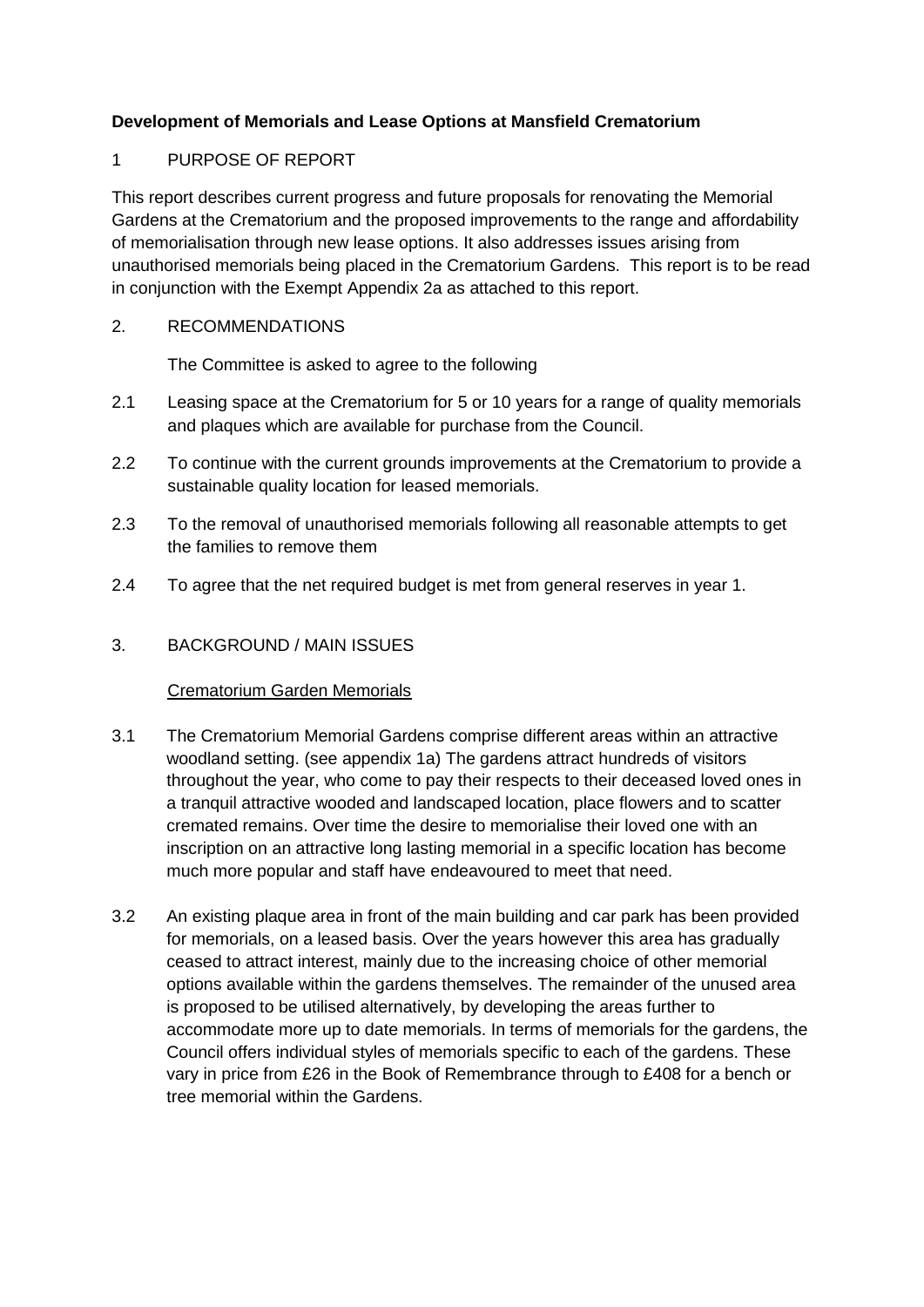# **Development of Memorials and Lease Options at Mansfield Crematorium**

## 1 PURPOSE OF REPORT

This report describes current progress and future proposals for renovating the Memorial Gardens at the Crematorium and the proposed improvements to the range and affordability of memorialisation through new lease options. It also addresses issues arising from unauthorised memorials being placed in the Crematorium Gardens. This report is to be read in conjunction with the Exempt Appendix 2a as attached to this report.

### 2. RECOMMENDATIONS

The Committee is asked to agree to the following

- 2.1 Leasing space at the Crematorium for 5 or 10 years for a range of quality memorials and plaques which are available for purchase from the Council.
- 2.2 To continue with the current grounds improvements at the Crematorium to provide a sustainable quality location for leased memorials.
- 2.3 To the removal of unauthorised memorials following all reasonable attempts to get the families to remove them
- 2.4 To agree that the net required budget is met from general reserves in year 1.

### 3. BACKGROUND / MAIN ISSUES

### Crematorium Garden Memorials

- 3.1 The Crematorium Memorial Gardens comprise different areas within an attractive woodland setting. (see appendix 1a) The gardens attract hundreds of visitors throughout the year, who come to pay their respects to their deceased loved ones in a tranquil attractive wooded and landscaped location, place flowers and to scatter cremated remains. Over time the desire to memorialise their loved one with an inscription on an attractive long lasting memorial in a specific location has become much more popular and staff have endeavoured to meet that need.
- 3.2 An existing plaque area in front of the main building and car park has been provided for memorials, on a leased basis. Over the years however this area has gradually ceased to attract interest, mainly due to the increasing choice of other memorial options available within the gardens themselves. The remainder of the unused area is proposed to be utilised alternatively, by developing the areas further to accommodate more up to date memorials. In terms of memorials for the gardens, the Council offers individual styles of memorials specific to each of the gardens. These vary in price from £26 in the Book of Remembrance through to £408 for a bench or tree memorial within the Gardens.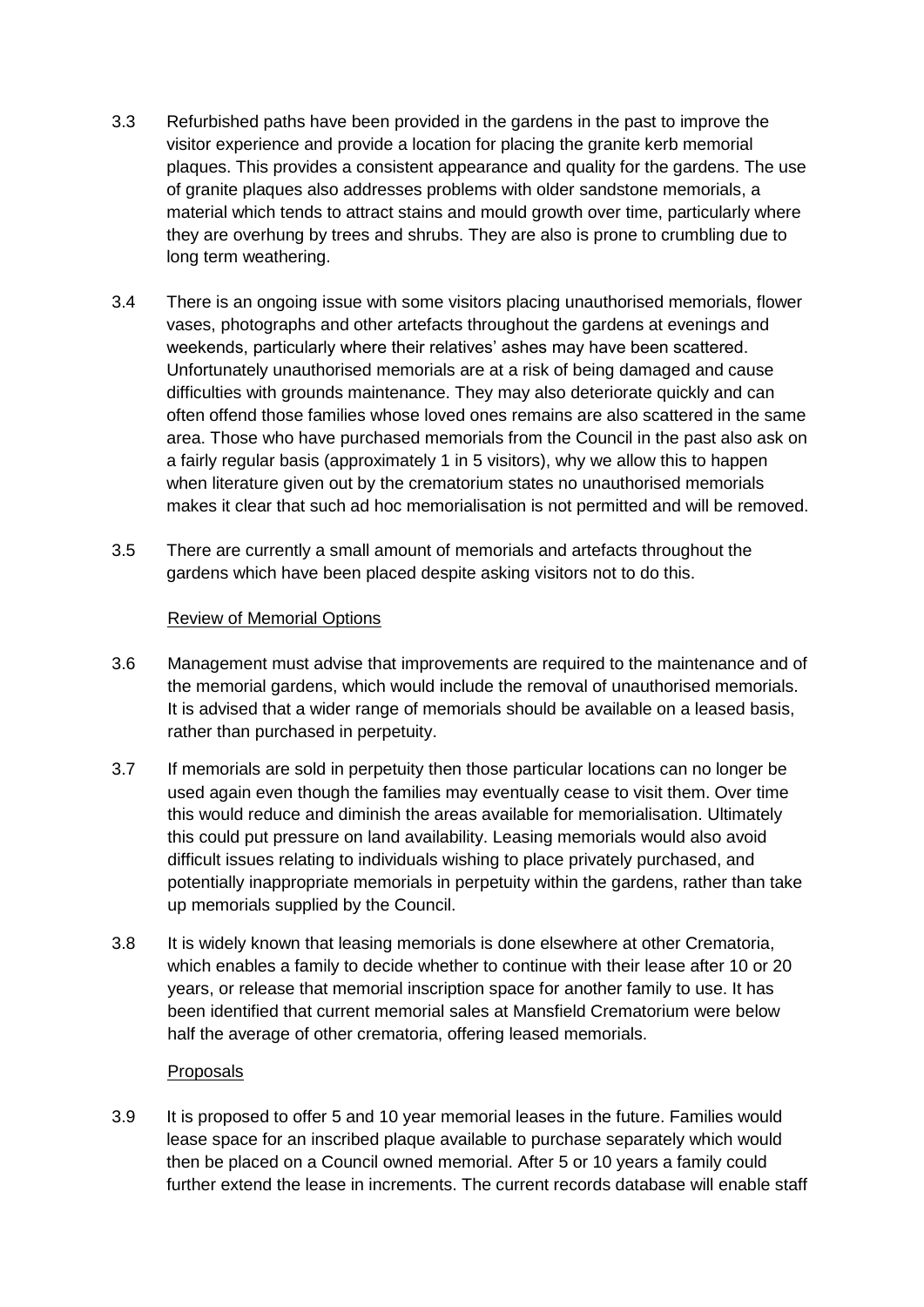- 3.3 Refurbished paths have been provided in the gardens in the past to improve the visitor experience and provide a location for placing the granite kerb memorial plaques. This provides a consistent appearance and quality for the gardens. The use of granite plaques also addresses problems with older sandstone memorials, a material which tends to attract stains and mould growth over time, particularly where they are overhung by trees and shrubs. They are also is prone to crumbling due to long term weathering.
- 3.4 There is an ongoing issue with some visitors placing unauthorised memorials, flower vases, photographs and other artefacts throughout the gardens at evenings and weekends, particularly where their relatives' ashes may have been scattered. Unfortunately unauthorised memorials are at a risk of being damaged and cause difficulties with grounds maintenance. They may also deteriorate quickly and can often offend those families whose loved ones remains are also scattered in the same area. Those who have purchased memorials from the Council in the past also ask on a fairly regular basis (approximately 1 in 5 visitors), why we allow this to happen when literature given out by the crematorium states no unauthorised memorials makes it clear that such ad hoc memorialisation is not permitted and will be removed.
- 3.5 There are currently a small amount of memorials and artefacts throughout the gardens which have been placed despite asking visitors not to do this.

### Review of Memorial Options

- 3.6 Management must advise that improvements are required to the maintenance and of the memorial gardens, which would include the removal of unauthorised memorials. It is advised that a wider range of memorials should be available on a leased basis, rather than purchased in perpetuity.
- 3.7 If memorials are sold in perpetuity then those particular locations can no longer be used again even though the families may eventually cease to visit them. Over time this would reduce and diminish the areas available for memorialisation. Ultimately this could put pressure on land availability. Leasing memorials would also avoid difficult issues relating to individuals wishing to place privately purchased, and potentially inappropriate memorials in perpetuity within the gardens, rather than take up memorials supplied by the Council.
- 3.8 It is widely known that leasing memorials is done elsewhere at other Crematoria, which enables a family to decide whether to continue with their lease after 10 or 20 years, or release that memorial inscription space for another family to use. It has been identified that current memorial sales at Mansfield Crematorium were below half the average of other crematoria, offering leased memorials.

### Proposals

3.9 It is proposed to offer 5 and 10 year memorial leases in the future. Families would lease space for an inscribed plaque available to purchase separately which would then be placed on a Council owned memorial. After 5 or 10 years a family could further extend the lease in increments. The current records database will enable staff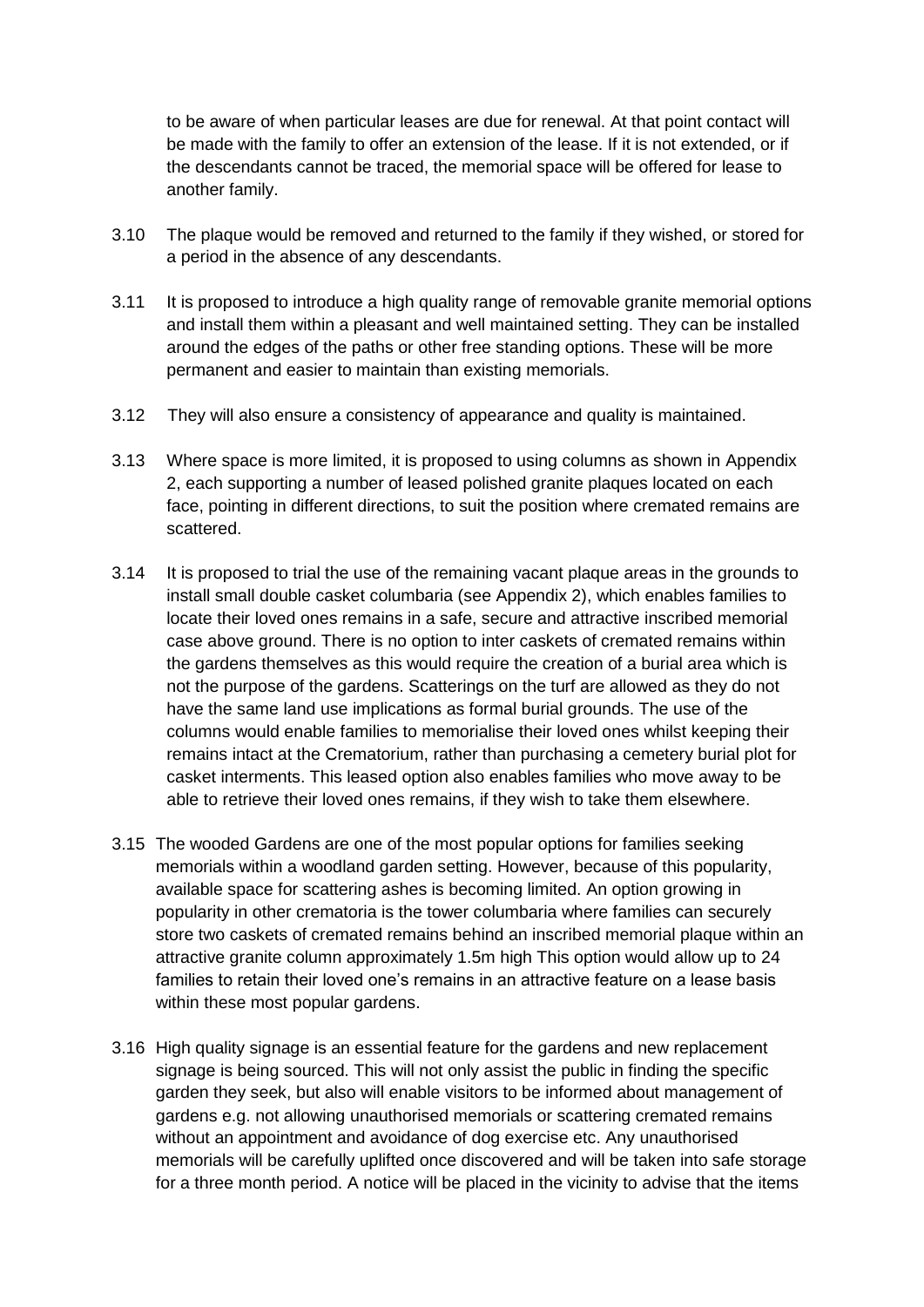to be aware of when particular leases are due for renewal. At that point contact will be made with the family to offer an extension of the lease. If it is not extended, or if the descendants cannot be traced, the memorial space will be offered for lease to another family.

- 3.10 The plaque would be removed and returned to the family if they wished, or stored for a period in the absence of any descendants.
- 3.11 It is proposed to introduce a high quality range of removable granite memorial options and install them within a pleasant and well maintained setting. They can be installed around the edges of the paths or other free standing options. These will be more permanent and easier to maintain than existing memorials.
- 3.12 They will also ensure a consistency of appearance and quality is maintained.
- 3.13 Where space is more limited, it is proposed to using columns as shown in Appendix 2, each supporting a number of leased polished granite plaques located on each face, pointing in different directions, to suit the position where cremated remains are scattered.
- 3.14 It is proposed to trial the use of the remaining vacant plaque areas in the grounds to install small double casket columbaria (see Appendix 2), which enables families to locate their loved ones remains in a safe, secure and attractive inscribed memorial case above ground. There is no option to inter caskets of cremated remains within the gardens themselves as this would require the creation of a burial area which is not the purpose of the gardens. Scatterings on the turf are allowed as they do not have the same land use implications as formal burial grounds. The use of the columns would enable families to memorialise their loved ones whilst keeping their remains intact at the Crematorium, rather than purchasing a cemetery burial plot for casket interments. This leased option also enables families who move away to be able to retrieve their loved ones remains, if they wish to take them elsewhere.
- 3.15 The wooded Gardens are one of the most popular options for families seeking memorials within a woodland garden setting. However, because of this popularity, available space for scattering ashes is becoming limited. An option growing in popularity in other crematoria is the tower columbaria where families can securely store two caskets of cremated remains behind an inscribed memorial plaque within an attractive granite column approximately 1.5m high This option would allow up to 24 families to retain their loved one's remains in an attractive feature on a lease basis within these most popular gardens.
- 3.16 High quality signage is an essential feature for the gardens and new replacement signage is being sourced. This will not only assist the public in finding the specific garden they seek, but also will enable visitors to be informed about management of gardens e.g. not allowing unauthorised memorials or scattering cremated remains without an appointment and avoidance of dog exercise etc. Any unauthorised memorials will be carefully uplifted once discovered and will be taken into safe storage for a three month period. A notice will be placed in the vicinity to advise that the items